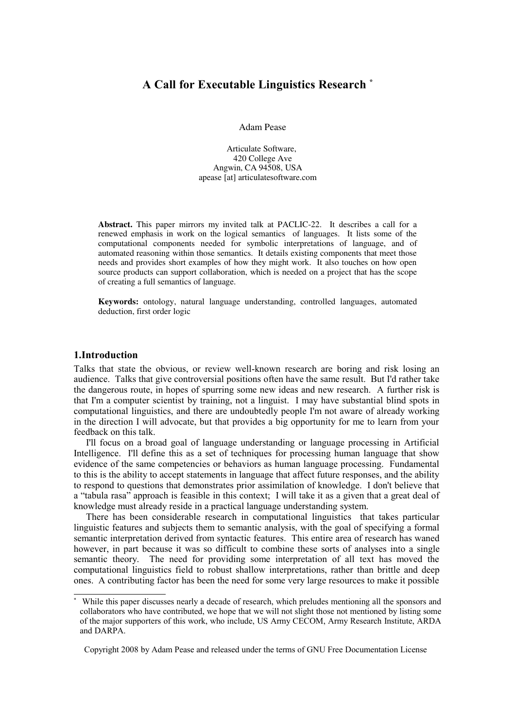# **A Call for Executable Linguistics Research [\\*](#page-0-0)**

Adam Pease

Articulate Software, 420 College Ave Angwin, CA 94508, USA apease [at] articulatesoftware.com

Abstract. This paper mirrors my invited talk at PACLIC-22. It describes a call for a renewed emphasis in work on the logical semantics of languages. It lists some of the computational components needed for symbolic interpretations of language, and of automated reasoning within those semantics. It details existing components that meet those needs and provides short examples of how they might work. It also touches on how open source products can support collaboration, which is needed on a project that has the scope of creating a full semantics of language.

Keywords: ontology, natural language understanding, controlled languages, automated deduction, first order logic

### **1.Introduction**

Talks that state the obvious, or review well-known research are boring and risk losing an audience. Talks that give controversial positions often have the same result. But I'd rather take the dangerous route, in hopes of spurring some new ideas and new research. A further risk is that I'm a computer scientist by training, not a linguist. I may have substantial blind spots in computational linguistics, and there are undoubtedly people I'm not aware of already working in the direction I will advocate, but that provides a big opportunity for me to learn from your feedback on this talk.

I'll focus on a broad goal of language understanding or language processing in Artificial Intelligence. I'll define this as a set of techniques for processing human language that show evidence of the same competencies or behaviors as human language processing. Fundamental to this is the ability to accept statements in language that affect future responses, and the ability to respond to questions that demonstrates prior assimilation of knowledge. I don't believe that a "tabula rasa" approach is feasible in this context; I will take it as a given that a great deal of knowledge must already reside in a practical language understanding system.

There has been considerable research in computational linguistics that takes particular linguistic features and subjects them to semantic analysis, with the goal of specifying a formal semantic interpretation derived from syntactic features. This entire area of research has waned however, in part because it was so difficult to combine these sorts of analyses into a single semantic theory. The need for providing some interpretation of all text has moved the computational linguistics field to robust shallow interpretations, rather than brittle and deep ones. A contributing factor has been the need for some very large resources to make it possible

<span id="page-0-0"></span>While this paper discusses nearly a decade of research, which preludes mentioning all the sponsors and collaborators who have contributed, we hope that we will not slight those not mentioned by listing some of the major supporters of this work, who include, US Army CECOM, Army Research Institute, ARDA and DARPA.

Copyright 2008 by Adam Pease and released under the terms of GNU Free Documentation License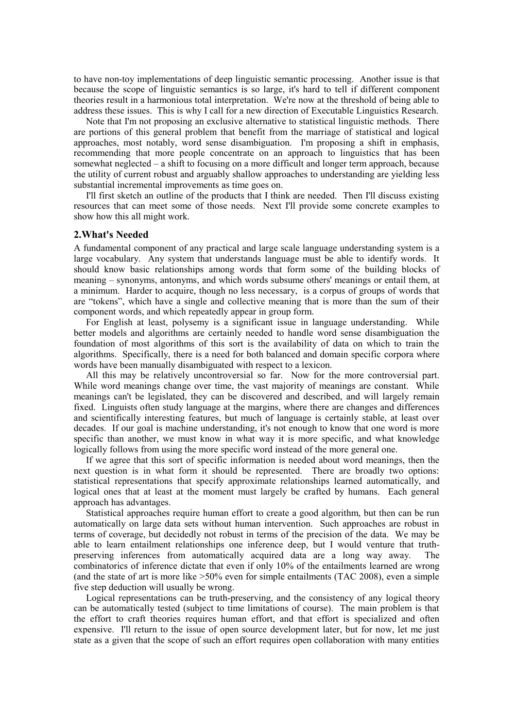to have non-toy implementations of deep linguistic semantic processing. Another issue is that because the scope of linguistic semantics is so large, it's hard to tell if different component theories result in a harmonious total interpretation. We're now at the threshold of being able to address these issues. This is why I call for a new direction of Executable Linguistics Research.

Note that I'm not proposing an exclusive alternative to statistical linguistic methods. There are portions of this general problem that benefit from the marriage of statistical and logical approaches, most notably, word sense disambiguation. I'm proposing a shift in emphasis, recommending that more people concentrate on an approach to linguistics that has been somewhat neglected – a shift to focusing on a more difficult and longer term approach, because the utility of current robust and arguably shallow approaches to understanding are yielding less substantial incremental improvements as time goes on.

I'll first sketch an outline of the products that I think are needed. Then I'll discuss existing resources that can meet some of those needs. Next I'll provide some concrete examples to show how this all might work.

#### **2.What's Needed**

A fundamental component of any practical and large scale language understanding system is a large vocabulary. Any system that understands language must be able to identify words. It should know basic relationships among words that form some of the building blocks of meaning – synonyms, antonyms, and which words subsume others' meanings or entail them, at a minimum. Harder to acquire, though no less necessary, is a corpus of groups of words that are "tokens", which have a single and collective meaning that is more than the sum of their component words, and which repeatedly appear in group form.

For English at least, polysemy is a significant issue in language understanding. While better models and algorithms are certainly needed to handle word sense disambiguation the foundation of most algorithms of this sort is the availability of data on which to train the algorithms. Specifically, there is a need for both balanced and domain specific corpora where words have been manually disambiguated with respect to a lexicon.

All this may be relatively uncontroversial so far. Now for the more controversial part. While word meanings change over time, the vast majority of meanings are constant. While meanings can't be legislated, they can be discovered and described, and will largely remain fixed. Linguists often study language at the margins, where there are changes and differences and scientifically interesting features, but much of language is certainly stable, at least over decades. If our goal is machine understanding, it's not enough to know that one word is more specific than another, we must know in what way it is more specific, and what knowledge logically follows from using the more specific word instead of the more general one.

If we agree that this sort of specific information is needed about word meanings, then the next question is in what form it should be represented. There are broadly two options: statistical representations that specify approximate relationships learned automatically, and logical ones that at least at the moment must largely be crafted by humans. Each general approach has advantages.

Statistical approaches require human effort to create a good algorithm, but then can be run automatically on large data sets without human intervention. Such approaches are robust in terms of coverage, but decidedly not robust in terms of the precision of the data. We may be able to learn entailment relationships one inference deep, but I would venture that truthpreserving inferences from automatically acquired data are a long way away. combinatorics of inference dictate that even if only 10% of the entailments learned are wrong (and the state of art is more like  $>50\%$  even for simple entailments (TAC 2008), even a simple five step deduction will usually be wrong.

Logical representations can be truth-preserving, and the consistency of any logical theory can be automatically tested (subject to time limitations of course). The main problem is that the effort to craft theories requires human effort, and that effort is specialized and often expensive. I'll return to the issue of open source development later, but for now, let me just state as a given that the scope of such an effort requires open collaboration with many entities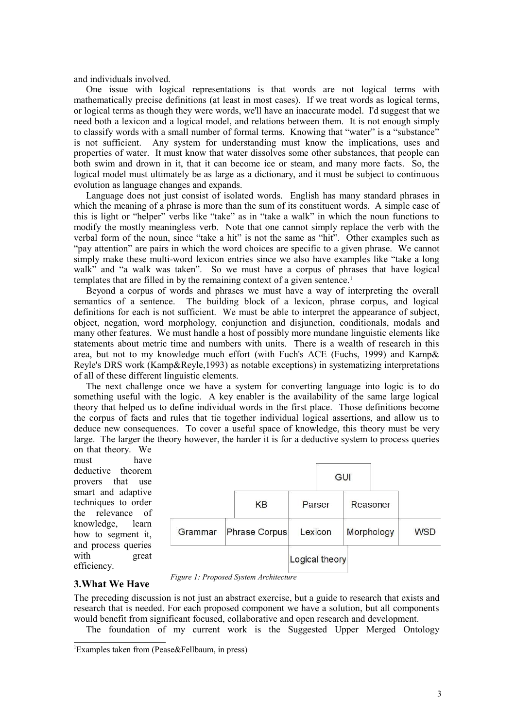and individuals involved.

One issue with logical representations is that words are not logical terms with mathematically precise definitions (at least in most cases). If we treat words as logical terms, or logical terms as though they were words, we'll have an inaccurate model. I'd suggest that we need both a lexicon and a logical model, and relations between them. It is not enough simply to classify words with a small number of formal terms. Knowing that "water" is a "substance" is not sufficient. Any system for understanding must know the implications, uses and properties of water. It must know that water dissolves some other substances, that people can both swim and drown in it, that it can become ice or steam, and many more facts. So, the logical model must ultimately be as large as a dictionary, and it must be subject to continuous evolution as language changes and expands.

Language does not just consist of isolated words. English has many standard phrases in which the meaning of a phrase is more than the sum of its constituent words. A simple case of this is light or "helper" verbs like "take" as in "take a walk" in which the noun functions to modify the mostly meaningless verb. Note that one cannot simply replace the verb with the verbal form of the noun, since "take a hit" is not the same as "hit". Other examples such as "pay attention" are pairs in which the word choices are specific to a given phrase. We cannot simply make these multi-word lexicon entries since we also have examples like "take a long walk" and "a walk was taken". So we must have a corpus of phrases that have logical templates that are filled in by the remaining context of a given sentence.<sup>[1](#page-2-0)</sup>

Beyond a corpus of words and phrases we must have a way of interpreting the overall semantics of a sentence. The building block of a lexicon, phrase corpus, and logical definitions for each is not sufficient. We must be able to interpret the appearance of subject, object, negation, word morphology, conjunction and disjunction, conditionals, modals and many other features. We must handle a host of possibly more mundane linguistic elements like statements about metric time and numbers with units. There is a wealth of research in this area, but not to my knowledge much effort (with Fuch's ACE (Fuchs, 1999) and Kamp& Reyle's DRS work (Kamp&Reyle,1993) as notable exceptions) in systematizing interpretations of all of these different linguistic elements.

The next challenge once we have a system for converting language into logic is to do something useful with the logic. A key enabler is the availability of the same large logical theory that helped us to define individual words in the first place. Those definitions become the corpus of facts and rules that tie together individual logical assertions, and allow us to deduce new consequences. To cover a useful space of knowledge, this theory must be very large. The larger the theory however, the harder it is for a deductive system to process queries on that theory. We

must have deductive theorem provers that use smart and adaptive techniques to order the relevance of knowledge, learn how to segment it, and process queries with great efficiency.

|         |               |         | GUI            |            |  |            |
|---------|---------------|---------|----------------|------------|--|------------|
|         | KB            | Parser  |                | Reasoner   |  |            |
| Grammar | Phrase Corpus | Lexicon |                | Morphology |  | <b>WSD</b> |
|         |               |         | Logical theory |            |  |            |

### **3.What We Have**

The preceding discussion is not just an abstract exercise, but a guide to research that exists and research that is needed. For each proposed component we have a solution, but all components would benefit from significant focused, collaborative and open research and development.

*Figure 1: Proposed System Architecture*

The foundation of my current work is the Suggested Upper Merged Ontology

<span id="page-2-0"></span><sup>1</sup>Examples taken from (Pease&Fellbaum, in press)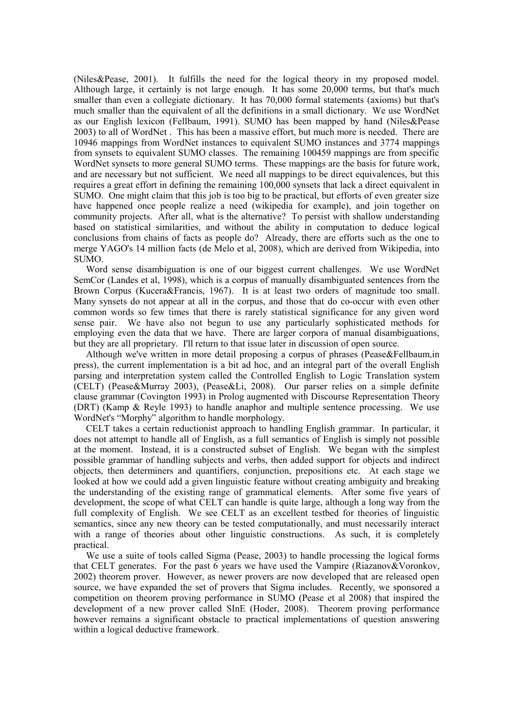(Niles&Pease, 2001). It fulfills the need for the logical theory in my proposed model. Although large, it certainly is not large enough. It has some 20,000 terms, but that's much smaller than even a collegiate dictionary. It has 70,000 formal statements (axioms) but that's much smaller than the equivalent of all the definitions in a small dictionary. We use WordNet as our English lexicon (Fellbaum, 1991). SUMO has been mapped by hand (Niles&Pease 2003) to all of WordNet . This has been a massive effort, but much more is needed. There are 10946 mappings from WordNet instances to equivalent SUMO instances and 3774 mappings from synsets to equivalent SUMO classes. The remaining 100459 mappings are from specific WordNet synsets to more general SUMO terms. These mappings are the basis for future work, and are necessary but not sufficient. We need all mappings to be direct equivalences, but this requires a great effort in defining the remaining 100,000 synsets that lack a direct equivalent in SUMO. One might claim that this job is too big to be practical, but efforts of even greater size have happened once people realize a need (wikipedia for example), and join together on community projects. After all, what is the alternative? To persist with shallow understanding based on statistical similarities, and without the ability in computation to deduce logical conclusions from chains of facts as people do? Already, there are efforts such as the one to merge YAGO's 14 million facts (de Melo et al, 2008), which are derived from Wikipedia, into SUMO.

Word sense disambiguation is one of our biggest current challenges. We use WordNet SemCor (Landes et al, 1998), which is a corpus of manually disambiguated sentences from the Brown Corpus (Kucera&Francis, 1967). It is at least two orders of magnitude too small. Many synsets do not appear at all in the corpus, and those that do co-occur with even other common words so few times that there is rarely statistical significance for any given word sense pair. We have also not begun to use any particularly sophisticated methods for employing even the data that we have. There are larger corpora of manual disambiguations, but they are all proprietary. I'll return to that issue later in discussion of open source.

Although we've written in more detail proposing a corpus of phrases (Pease&Fellbaum,in press), the current implementation is a bit ad hoc, and an integral part of the overall English parsing and interpretation system called the Controlled English to Logic Translation system (CELT) (Pease&Murray 2003), (Pease&Li, 2008). Our parser relies on a simple definite clause grammar (Covington 1993) in Prolog augmented with Discourse Representation Theory (DRT) (Kamp & Reyle 1993) to handle anaphor and multiple sentence processing. We use WordNet's "Morphy" algorithm to handle morphology.

CELT takes a certain reductionist approach to handling English grammar. In particular, it does not attempt to handle all of English, as a full semantics of English is simply not possible at the moment. Instead, it is a constructed subset of English. We began with the simplest possible grammar of handling subjects and verbs, then added support for objects and indirect objects, then determiners and quantifiers, conjunction, prepositions etc. At each stage we looked at how we could add a given linguistic feature without creating ambiguity and breaking the understanding of the existing range of grammatical elements. After some five years of development, the scope of what CELT can handle is quite large, although a long way from the full complexity of English. We see CELT as an excellent testbed for theories of linguistic semantics, since any new theory can be tested computationally, and must necessarily interact with a range of theories about other linguistic constructions. As such, it is completely practical.

We use a suite of tools called Sigma (Pease, 2003) to handle processing the logical forms that CELT generates. For the past  $\vec{6}$  years we have used the Vampire (Riazanov&Voronkov, 2002) theorem prover. However, as newer provers are now developed that are released open source, we have expanded the set of provers that Sigma includes. Recently, we sponsored a competition on theorem proving performance in SUMO (Pease et al 2008) that inspired the development of a new prover called SInE (Hoder, 2008). Theorem proving performance however remains a significant obstacle to practical implementations of question answering within a logical deductive framework.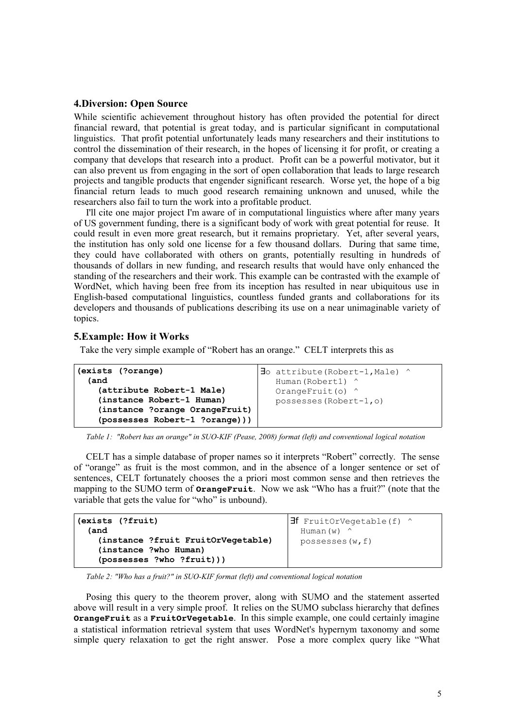### **4.Diversion: Open Source**

While scientific achievement throughout history has often provided the potential for direct financial reward, that potential is great today, and is particular significant in computational linguistics. That profit potential unfortunately leads many researchers and their institutions to control the dissemination of their research, in the hopes of licensing it for profit, or creating a company that develops that research into a product. Profit can be a powerful motivator, but it can also prevent us from engaging in the sort of open collaboration that leads to large research projects and tangible products that engender significant research. Worse yet, the hope of a big financial return leads to much good research remaining unknown and unused, while the researchers also fail to turn the work into a profitable product.

I'll cite one major project I'm aware of in computational linguistics where after many years of US government funding, there is a significant body of work with great potential for reuse. It could result in even more great research, but it remains proprietary. Yet, after several years, the institution has only sold one license for a few thousand dollars. During that same time, they could have collaborated with others on grants, potentially resulting in hundreds of thousands of dollars in new funding, and research results that would have only enhanced the standing of the researchers and their work. This example can be contrasted with the example of WordNet, which having been free from its inception has resulted in near ubiquitous use in English-based computational linguistics, countless funded grants and collaborations for its developers and thousands of publications describing its use on a near unimaginable variety of topics.

## **5.Example: How it Works**

Take the very simple example of "Robert has an orange." CELT interprets this as

| (exists (?orange)                                                                                                          | $\exists$ o attribute (Robert-1, Male) ^             |
|----------------------------------------------------------------------------------------------------------------------------|------------------------------------------------------|
| (and                                                                                                                       | Human (Robert1) ^                                    |
| (attribute Robert-1 Male)<br>(instance Robert-1 Human)<br>(instance ?orange OrangeFruit)<br>(possesses Robert-1 ?orange))) | OrangeFruit(o) $^{\wedge}$<br>possesses (Robert-1,0) |

*Table 1: "Robert has an orange" in SUO-KIF (Pease, 2008) format (left) and conventional logical notation*

CELT has a simple database of proper names so it interprets "Robert" correctly. The sense of "orange" as fruit is the most common, and in the absence of a longer sentence or set of sentences, CELT fortunately chooses the a priori most common sense and then retrieves the mapping to the SUMO term of **OrangeFruit**. Now we ask "Who has a fruit?" (note that the variable that gets the value for "who" is unbound).

| (exists (?fruit)<br>(and                                    | <b>H</b> FruitOrVegetable $(f)$ ^<br>Human $(w)$ $\wedge$ |  |  |
|-------------------------------------------------------------|-----------------------------------------------------------|--|--|
| (instance ?fruit FruitOrVegetable)<br>(instance ?who Human) | possesses $(w, f)$                                        |  |  |
| (possesses ?who ?fruit)))                                   |                                                           |  |  |

*Table 2: "Who has a fruit?" in SUO-KIF format (left) and conventional logical notation*

Posing this query to the theorem prover, along with SUMO and the statement asserted above will result in a very simple proof. It relies on the SUMO subclass hierarchy that defines **OrangeFruit** as a **FruitOrVegetable**. In this simple example, one could certainly imagine a statistical information retrieval system that uses WordNet's hypernym taxonomy and some simple query relaxation to get the right answer. Pose a more complex query like "What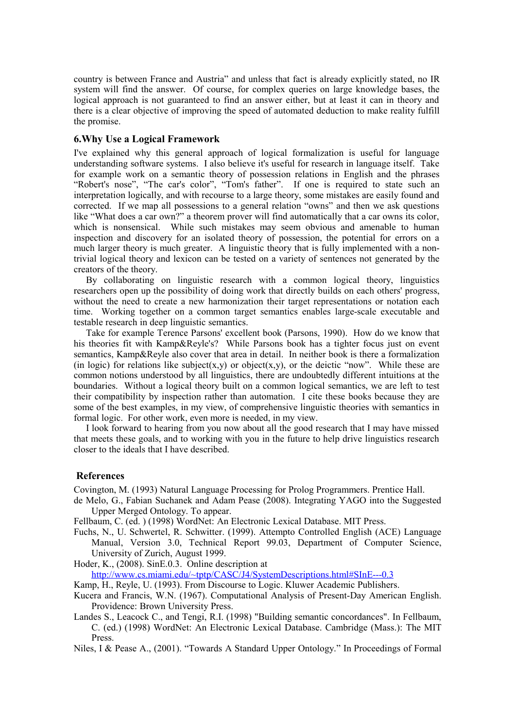country is between France and Austria" and unless that fact is already explicitly stated, no IR system will find the answer. Of course, for complex queries on large knowledge bases, the logical approach is not guaranteed to find an answer either, but at least it can in theory and there is a clear objective of improving the speed of automated deduction to make reality fulfill the promise.

#### **6.Why Use a Logical Framework**

I've explained why this general approach of logical formalization is useful for language understanding software systems. I also believe it's useful for research in language itself. Take for example work on a semantic theory of possession relations in English and the phrases "Robert's nose", "The car's color", "Tom's father". If one is required to state such an interpretation logically, and with recourse to a large theory, some mistakes are easily found and corrected. If we map all possessions to a general relation "owns" and then we ask questions like "What does a car own?" a theorem prover will find automatically that a car owns its color, which is nonsensical. While such mistakes may seem obvious and amenable to human inspection and discovery for an isolated theory of possession, the potential for errors on a much larger theory is much greater. A linguistic theory that is fully implemented with a nontrivial logical theory and lexicon can be tested on a variety of sentences not generated by the creators of the theory.

By collaborating on linguistic research with a common logical theory, linguistics researchers open up the possibility of doing work that directly builds on each others' progress, without the need to create a new harmonization their target representations or notation each time. Working together on a common target semantics enables large-scale executable and testable research in deep linguistic semantics.

Take for example Terence Parsons' excellent book (Parsons, 1990). How do we know that his theories fit with Kamp&Reyle's? While Parsons book has a tighter focus just on event semantics, Kamp&Reyle also cover that area in detail. In neither book is there a formalization (in logic) for relations like subject(x,y) or object(x,y), or the deictic "now". While these are common notions understood by all linguistics, there are undoubtedly different intuitions at the boundaries. Without a logical theory built on a common logical semantics, we are left to test their compatibility by inspection rather than automation. I cite these books because they are some of the best examples, in my view, of comprehensive linguistic theories with semantics in formal logic. For other work, even more is needed, in my view.

I look forward to hearing from you now about all the good research that I may have missed that meets these goals, and to working with you in the future to help drive linguistics research closer to the ideals that I have described.

#### **References**

Covington, M. (1993) Natural Language Processing for Prolog Programmers. Prentice Hall.

de Melo, G., Fabian Suchanek and Adam Pease (2008). Integrating YAGO into the Suggested Upper Merged Ontology. To appear.

Fellbaum, C. (ed. ) (1998) WordNet: An Electronic Lexical Database. MIT Press.

Fuchs, N., U. Schwertel, R. Schwitter. (1999). Attempto Controlled English (ACE) Language Manual, Version 3.0, Technical Report 99.03, Department of Computer Science, University of Zurich, August 1999.

Hoder, K., (2008). SinE.0.3. Online description at

<http://www.cs.miami.edu/~tptp/CASC/J4/SystemDescriptions.html#SInE---0.3>

Kamp, H., Reyle, U. (1993). From Discourse to Logic. Kluwer Academic Publishers.

- Kucera and Francis, W.N. (1967). Computational Analysis of Present-Day American English. Providence: Brown University Press.
- Landes S., Leacock C., and Tengi, R.I. (1998) "Building semantic concordances". In Fellbaum, C. (ed.) (1998) WordNet: An Electronic Lexical Database. Cambridge (Mass.): The MIT Press.

Niles, I & Pease A., (2001). "Towards A Standard Upper Ontology." In Proceedings of Formal